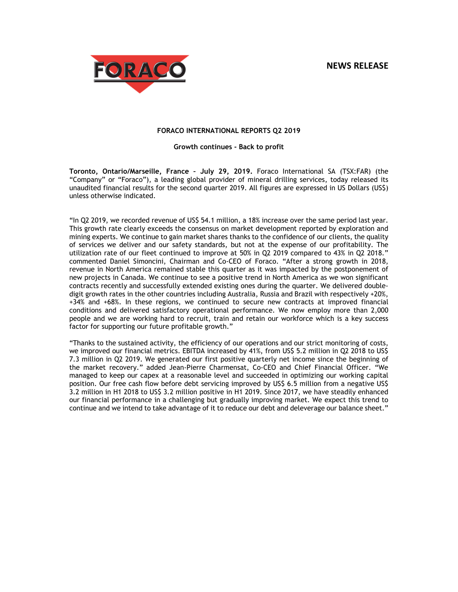# **NEWS RELEASE**



## **FORACO INTERNATIONAL REPORTS Q2 2019**

## **Growth continues - Back to profit**

**Toronto, Ontario/Marseille, France – July 29, 2019.** Foraco International SA (TSX:FAR) (the "Company" or "Foraco"), a leading global provider of mineral drilling services, today released its unaudited financial results for the second quarter 2019. All figures are expressed in US Dollars (US\$) unless otherwise indicated.

"In Q2 2019, we recorded revenue of US\$ 54.1 million, a 18% increase over the same period last year. This growth rate clearly exceeds the consensus on market development reported by exploration and mining experts. We continue to gain market shares thanks to the confidence of our clients, the quality of services we deliver and our safety standards, but not at the expense of our profitability. The utilization rate of our fleet continued to improve at 50% in Q2 2019 compared to 43% in Q2 2018." commented Daniel Simoncini, Chairman and Co-CEO of Foraco. "After a strong growth in 2018, revenue in North America remained stable this quarter as it was impacted by the postponement of new projects in Canada. We continue to see a positive trend in North America as we won significant contracts recently and successfully extended existing ones during the quarter. We delivered doubledigit growth rates in the other countries including Australia, Russia and Brazil with respectively +20%, +34% and +68%. In these regions, we continued to secure new contracts at improved financial conditions and delivered satisfactory operational performance. We now employ more than 2,000 people and we are working hard to recruit, train and retain our workforce which is a key success factor for supporting our future profitable growth."

"Thanks to the sustained activity, the efficiency of our operations and our strict monitoring of costs, we improved our financial metrics. EBITDA increased by 41%, from US\$ 5.2 million in Q2 2018 to US\$ 7.3 million in Q2 2019. We generated our first positive quarterly net income since the beginning of the market recovery." added Jean-Pierre Charmensat, Co-CEO and Chief Financial Officer. "We managed to keep our capex at a reasonable level and succeeded in optimizing our working capital position. Our free cash flow before debt servicing improved by US\$ 6.5 million from a negative US\$ 3.2 million in H1 2018 to US\$ 3.2 million positive in H1 2019. Since 2017, we have steadily enhanced our financial performance in a challenging but gradually improving market. We expect this trend to continue and we intend to take advantage of it to reduce our debt and deleverage our balance sheet."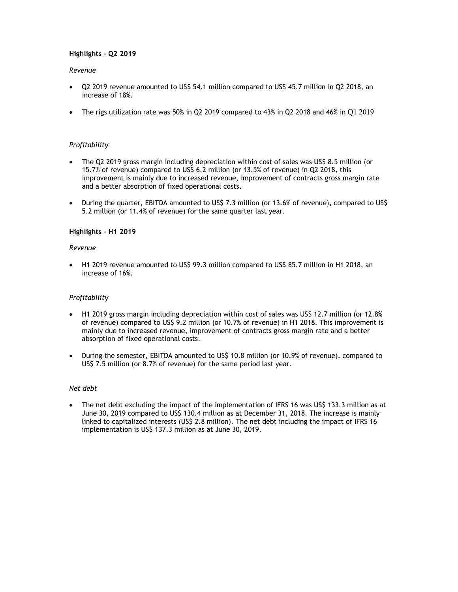# **Highlights – Q2 2019**

## *Revenue*

- Q2 2019 revenue amounted to US\$ 54.1 million compared to US\$ 45.7 million in Q2 2018, an increase of 18%.
- The rigs utilization rate was 50% in Q2 2019 compared to 43% in Q2 2018 and 46% in Q1 2019

# *Profitability*

- The Q2 2019 gross margin including depreciation within cost of sales was US\$ 8.5 million (or 15.7% of revenue) compared to US\$ 6.2 million (or 13.5% of revenue) in Q2 2018, this improvement is mainly due to increased revenue, improvement of contracts gross margin rate and a better absorption of fixed operational costs.
- During the quarter, EBITDA amounted to US\$ 7.3 million (or 13.6% of revenue), compared to US\$ 5.2 million (or 11.4% of revenue) for the same quarter last year.

# **Highlights – H1 2019**

## *Revenue*

 H1 2019 revenue amounted to US\$ 99.3 million compared to US\$ 85.7 million in H1 2018, an increase of 16%.

## *Profitability*

- H1 2019 gross margin including depreciation within cost of sales was US\$ 12.7 million (or 12.8% of revenue) compared to US\$ 9.2 million (or 10.7% of revenue) in H1 2018. This improvement is mainly due to increased revenue, improvement of contracts gross margin rate and a better absorption of fixed operational costs.
- During the semester, EBITDA amounted to US\$ 10.8 million (or 10.9% of revenue), compared to US\$ 7.5 million (or 8.7% of revenue) for the same period last year.

## *Net debt*

• The net debt excluding the impact of the implementation of IFRS 16 was US\$ 133.3 million as at June 30, 2019 compared to US\$ 130.4 million as at December 31, 2018. The increase is mainly linked to capitalized interests (US\$ 2.8 million). The net debt including the impact of IFRS 16 implementation is US\$ 137.3 million as at June 30, 2019.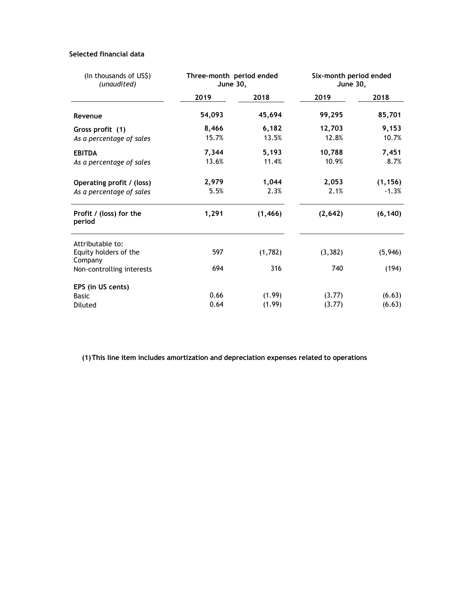# **Selected financial data**

| (In thousands of US\$)<br>(unaudited) | Three-month period ended<br><b>June 30,</b> |          | Six-month period ended<br><b>June 30,</b> |          |  |
|---------------------------------------|---------------------------------------------|----------|-------------------------------------------|----------|--|
|                                       | 2019                                        | 2018     | 2019                                      | 2018     |  |
| Revenue                               | 54,093                                      | 45,694   | 99,295                                    | 85,701   |  |
| Gross profit (1)                      | 8,466                                       | 6,182    | 12,703                                    | 9,153    |  |
| As a percentage of sales              | 15.7%                                       | 13.5%    | 12.8%                                     | 10.7%    |  |
| <b>EBITDA</b>                         | 7,344                                       | 5,193    | 10,788                                    | 7,451    |  |
| As a percentage of sales              | 13.6%                                       | 11.4%    | 10.9%                                     | 8.7%     |  |
| Operating profit / (loss)             | 2,979                                       | 1,044    | 2,053                                     | (1, 156) |  |
| As a percentage of sales              | 5.5%                                        | 2.3%     | 2.1%                                      | $-1.3%$  |  |
| Profit / (loss) for the<br>period     | 1,291                                       | (1, 466) | (2,642)                                   | (6, 140) |  |
| Attributable to:                      |                                             |          |                                           |          |  |
| Equity holders of the<br>Company      | 597                                         | (1,782)  | (3, 382)                                  | (5, 946) |  |
| Non-controlling interests             | 694                                         | 316      | 740                                       | (194)    |  |
| EPS (in US cents)                     |                                             |          |                                           |          |  |
| <b>Basic</b>                          | 0.66                                        | (1.99)   | (3.77)                                    | (6.63)   |  |
| <b>Diluted</b>                        | 0.64                                        | (1.99)   | (3.77)                                    | (6.63)   |  |

**(1)This line item includes amortization and depreciation expenses related to operations**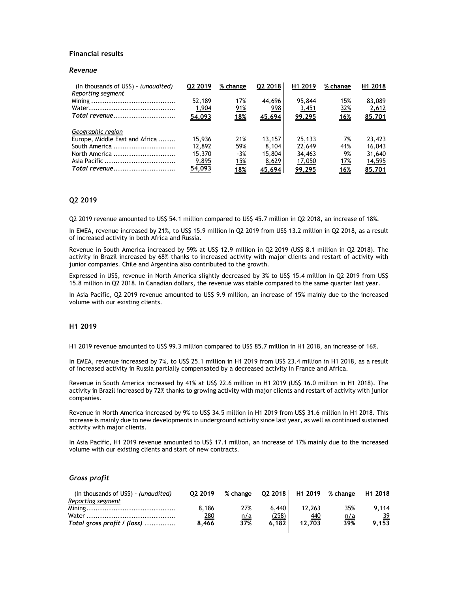## **Financial results**

## *Revenue*

| (In thousands of US\$) - (unaudited)<br>Reporting segment | Q2 2019 | % change   | Q2 2018 | H1 2019 | % change   | H <sub>1</sub> 2018 |
|-----------------------------------------------------------|---------|------------|---------|---------|------------|---------------------|
|                                                           | 52,189  | 17%        | 44,696  | 95,844  | 15%        | 83,089              |
|                                                           | 1,904   | <u>91%</u> | 998     | 3,451   | <u>32%</u> | 2,612               |
| Total revenue                                             | 54,093  | <u>18%</u> | 45,694  | 99,295  | <u>16%</u> | 85,701              |
|                                                           |         |            |         |         |            |                     |
| Geographic region                                         |         |            |         |         |            |                     |
| Europe, Middle East and Africa                            | 15,936  | 21%        | 13.157  | 25,133  | 7%         | 23,423              |
| South America                                             | 12,892  | 59%        | 8.104   | 22,649  | 41%        | 16,043              |
| North America                                             | 15,370  | $-3%$      | 15,804  | 34,463  | 9%         | 31,640              |
|                                                           | 9,895   | <u>15%</u> | 8,629   | 17,050  | 17%        | <u>14,595</u>       |
| Total revenue                                             | 54,093  | <u>18%</u> | 45,694  | 99,295  | <u>16%</u> | 85,701              |

#### **Q2 2019**

Q2 2019 revenue amounted to US\$ 54.1 million compared to US\$ 45.7 million in Q2 2018, an increase of 18%.

In EMEA, revenue increased by 21%, to US\$ 15.9 million in Q2 2019 from US\$ 13.2 million in Q2 2018, as a result of increased activity in both Africa and Russia.

Revenue in South America increased by 59% at US\$ 12.9 million in Q2 2019 (US\$ 8.1 million in Q2 2018). The activity in Brazil increased by 68% thanks to increased activity with major clients and restart of activity with junior companies. Chile and Argentina also contributed to the growth.

Expressed in US\$, revenue in North America slightly decreased by 3% to US\$ 15.4 million in Q2 2019 from US\$ 15.8 million in Q2 2018. In Canadian dollars, the revenue was stable compared to the same quarter last year.

In Asia Pacific, Q2 2019 revenue amounted to US\$ 9.9 million, an increase of 15% mainly due to the increased volume with our existing clients.

## **H1 2019**

H1 2019 revenue amounted to US\$ 99.3 million compared to US\$ 85.7 million in H1 2018, an increase of 16%.

In EMEA, revenue increased by 7%, to US\$ 25.1 million in H1 2019 from US\$ 23.4 million in H1 2018, as a result of increased activity in Russia partially compensated by a decreased activity in France and Africa.

Revenue in South America increased by 41% at US\$ 22.6 million in H1 2019 (US\$ 16.0 million in H1 2018). The activity in Brazil increased by 72% thanks to growing activity with major clients and restart of activity with junior companies.

Revenue in North America increased by 9% to US\$ 34.5 million in H1 2019 from US\$ 31.6 million in H1 2018. This increase is mainly due to new developments in underground activity since last year, as well as continued sustained activity with major clients.

In Asia Pacific, H1 2019 revenue amounted to US\$ 17.1 million, an increase of 17% mainly due to the increased volume with our existing clients and start of new contracts.

## *Gross profit*

| (In thousands of US\$) - (unaudited) | 02 2019              | % change          | Q2 2018 | H <sub>1</sub> 2019  | % change          | H <sub>1</sub> 2018 |
|--------------------------------------|----------------------|-------------------|---------|----------------------|-------------------|---------------------|
| Reporting segment                    |                      | 27%               | 6.440   |                      | 35%               | 9.114               |
|                                      | 8.186<br><u> 280</u> |                   | (258)   | 12.263<br><u>440</u> |                   | <u>39</u>           |
| Total gross profit / (loss) $\ldots$ | 8,466                | <u>n/a</u><br>37% | 6,182   | 12.703               | <u>n/a</u><br>39% | 9,153               |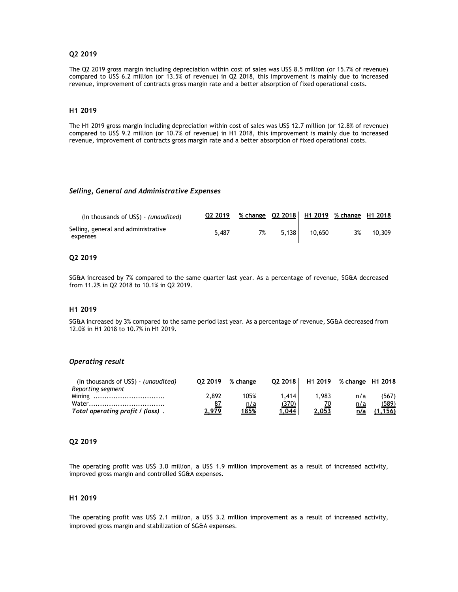## **Q2 2019**

The Q2 2019 gross margin including depreciation within cost of sales was US\$ 8.5 million (or 15.7% of revenue) compared to US\$ 6.2 million (or 13.5% of revenue) in Q2 2018, this improvement is mainly due to increased revenue, improvement of contracts gross margin rate and a better absorption of fixed operational costs.

## **H1 2019**

The H1 2019 gross margin including depreciation within cost of sales was US\$ 12.7 million (or 12.8% of revenue) compared to US\$ 9.2 million (or 10.7% of revenue) in H1 2018, this improvement is mainly due to increased revenue, improvement of contracts gross margin rate and a better absorption of fixed operational costs.

#### *Selling, General and Administrative Expenses*

| (In thousands of USS) - (unaudited)             | 02 2019 | % change Q2 2018   H1 2019 % change H1 2018 |       |        |    |        |
|-------------------------------------------------|---------|---------------------------------------------|-------|--------|----|--------|
| Selling, general and administrative<br>expenses | 5.487   | 7%                                          | 5.138 | 10.650 | 3% | 10,309 |

## **Q2 2019**

SG&A increased by 7% compared to the same quarter last year. As a percentage of revenue, SG&A decreased from 11.2% in Q2 2018 to 10.1% in Q2 2019.

#### **H1 2019**

SG&A increased by 3% compared to the same period last year. As a percentage of revenue, SG&A decreased from 12.0% in H1 2018 to 10.7% in H1 2019.

## *Operating result*

| (In thousands of US\$) - (unaudited) | 02 2019      | % change    | 02 2018 | H <sub>1</sub> 2019 | % change H1 2018 |         |
|--------------------------------------|--------------|-------------|---------|---------------------|------------------|---------|
| Reporting segment                    |              |             |         |                     |                  |         |
|                                      | 2.892        | 105%        | 1.414   | 983. ا              | n/a              | (567)   |
|                                      |              | <u>n/a</u>  | (370)   |                     | <u>n/a</u>       | (589)   |
| Total operating profit / (loss).     | <u>2,979</u> | <u>185%</u> | 1,044   | 2,053               | n/a              | (1.156) |

## **Q2 2019**

The operating profit was US\$ 3.0 million, a US\$ 1.9 million improvement as a result of increased activity, improved gross margin and controlled SG&A expenses.

## **H1 2019**

The operating profit was US\$ 2.1 million, a US\$ 3.2 million improvement as a result of increased activity, improved gross margin and stabilization of SG&A expenses.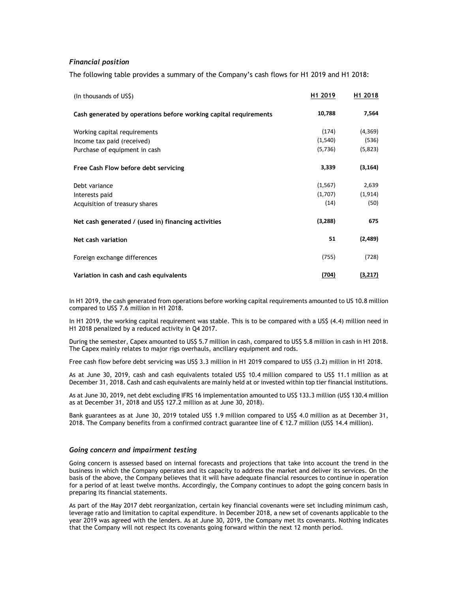## *Financial position*

The following table provides a summary of the Company's cash flows for H1 2019 and H1 2018:

| (In thousands of US\$)                                           | H <sub>1</sub> 2019 | H <sub>1</sub> 2018 |
|------------------------------------------------------------------|---------------------|---------------------|
| Cash generated by operations before working capital requirements | 10,788              | 7,564               |
| Working capital requirements                                     | (174)               | (4,369)             |
| Income tax paid (received)                                       | (1,540)             | (536)               |
| Purchase of equipment in cash                                    | (5, 736)            | (5,823)             |
| Free Cash Flow before debt servicing                             | 3,339               | (3, 164)            |
| Debt variance                                                    | (1, 567)            | 2,639               |
| Interests paid                                                   | (1,707)             | (1, 914)            |
| Acquisition of treasury shares                                   | (14)                | (50)                |
| Net cash generated / (used in) financing activities              | (3,288)             | 675                 |
| Net cash variation                                               | 51                  | (2,489)             |
| Foreign exchange differences                                     | (755)               | (728)               |
| Variation in cash and cash equivalents                           | (704)               | (3,217)             |

In H1 2019, the cash generated from operations before working capital requirements amounted to US 10.8 million compared to US\$ 7.6 million in H1 2018.

In H1 2019, the working capital requirement was stable. This is to be compared with a US\$ (4.4) million need in H1 2018 penalized by a reduced activity in Q4 2017.

During the semester, Capex amounted to US\$ 5.7 million in cash, compared to US\$ 5.8 million in cash in H1 2018. The Capex mainly relates to major rigs overhauls, ancillary equipment and rods.

Free cash flow before debt servicing was US\$ 3.3 million in H1 2019 compared to US\$ (3.2) million in H1 2018.

As at June 30, 2019, cash and cash equivalents totaled US\$ 10.4 million compared to US\$ 11.1 million as at December 31, 2018. Cash and cash equivalents are mainly held at or invested within top tier financial institutions.

As at June 30, 2019, net debt excluding IFRS 16 implementation amounted to US\$ 133.3 million (US\$ 130.4 million as at December 31, 2018 and US\$ 127.2 million as at June 30, 2018).

Bank guarantees as at June 30, 2019 totaled US\$ 1.9 million compared to US\$ 4.0 million as at December 31, 2018. The Company benefits from a confirmed contract guarantee line of  $\epsilon$  12.7 million (US\$ 14.4 million).

#### *Going concern and impairment testing*

Going concern is assessed based on internal forecasts and projections that take into account the trend in the business in which the Company operates and its capacity to address the market and deliver its services. On the basis of the above, the Company believes that it will have adequate financial resources to continue in operation for a period of at least twelve months. Accordingly, the Company continues to adopt the going concern basis in preparing its financial statements.

As part of the May 2017 debt reorganization, certain key financial covenants were set including minimum cash, leverage ratio and limitation to capital expenditure. In December 2018, a new set of covenants applicable to the year 2019 was agreed with the lenders. As at June 30, 2019, the Company met its covenants. Nothing indicates that the Company will not respect its covenants going forward within the next 12 month period.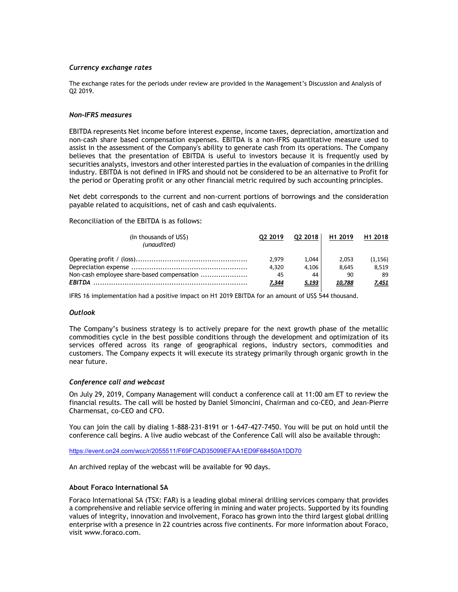## *Currency exchange rates*

The exchange rates for the periods under review are provided in the Management's Discussion and Analysis of Q2 2019.

### *Non-IFRS measures*

EBITDA represents Net income before interest expense, income taxes, depreciation, amortization and non-cash share based compensation expenses. EBITDA is a non-IFRS quantitative measure used to assist in the assessment of the Company's ability to generate cash from its operations. The Company believes that the presentation of EBITDA is useful to investors because it is frequently used by securities analysts, investors and other interested parties in the evaluation of companies in the drilling industry. EBITDA is not defined in IFRS and should not be considered to be an alternative to Profit for the period or Operating profit or any other financial metric required by such accounting principles.

Net debt corresponds to the current and non-current portions of borrowings and the consideration payable related to acquisitions, net of cash and cash equivalents.

Reconciliation of the EBITDA is as follows:

| (In thousands of US\$)<br>(unaudited)      | 02 2019      | 02 2018 | H <sub>1</sub> 2019 | H1 2018  |
|--------------------------------------------|--------------|---------|---------------------|----------|
|                                            | 2.979        | 1.044   | 2.053               | (1, 156) |
|                                            | 4.320        | 4.106   | 8.645               | 8.519    |
| Non-cash employee share-based compensation | 45           | 44      | 90                  | 89       |
|                                            | <u>7,344</u> | 5.193   | 10.788              | 7,451    |

IFRS 16 implementation had a positive impact on H1 2019 EBITDA for an amount of US\$ 544 thousand.

## *Outlook*

The Company's business strategy is to actively prepare for the next growth phase of the metallic commodities cycle in the best possible conditions through the development and optimization of its services offered across its range of geographical regions, industry sectors, commodities and customers. The Company expects it will execute its strategy primarily through organic growth in the near future.

#### *Conference call and webcast*

On July 29, 2019, Company Management will conduct a conference call at 11:00 am ET to review the financial results. The call will be hosted by Daniel Simoncini, Chairman and co-CEO, and Jean-Pierre Charmensat, co-CEO and CFO.

You can join the call by dialing 1-888-231-8191 or 1-647-427-7450. You will be put on hold until the conference call begins. A live audio webcast of the Conference Call will also be available through:

https://event.on24.com/wcc/r/2055511/F69FCAD35099EFAA1ED9F68450A1DD70

An archived replay of the webcast will be available for 90 days.

## **About Foraco International SA**

Foraco International SA (TSX: FAR) is a leading global mineral drilling services company that provides a comprehensive and reliable service offering in mining and water projects. Supported by its founding values of integrity, innovation and involvement, Foraco has grown into the third largest global drilling enterprise with a presence in 22 countries across five continents. For more information about Foraco, visit www.foraco.com.